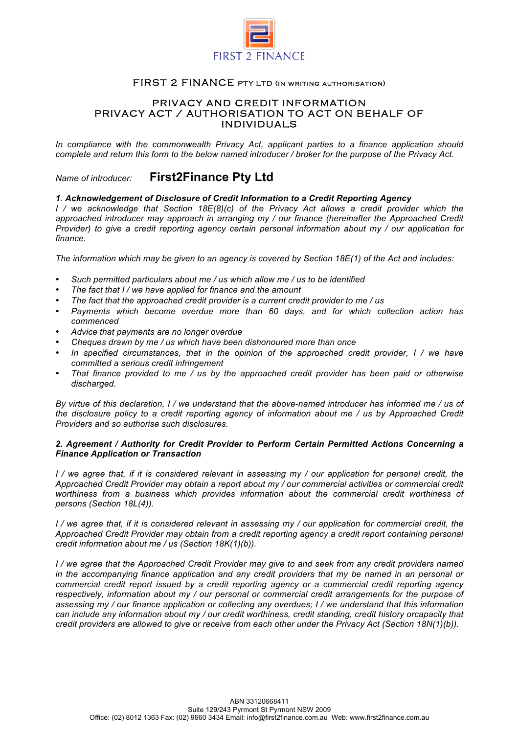

# FIRST 2 FINANCE PTY LTD (in writing authorisation)

## PRIVACY AND CREDIT INFORMATION PRIVACY ACT / AUTHORISATION TO ACT ON BEHALF OF INDIVIDUALS

*In compliance with the commonwealth Privacy Act, applicant parties to a finance application should complete and return this form to the below named introducer / broker for the purpose of the Privacy Act.*

*Name of introducer:* **First2Finance Pty Ltd**

## *1. Acknowledgement of Disclosure of Credit Information to a Credit Reporting Agency*

*I / we acknowledge that Section 18E(8)(c) of the Privacy Act allows a credit provider which the approached introducer may approach in arranging my / our finance (hereinafter the Approached Credit Provider) to give a credit reporting agency certain personal information about my / our application for finance.*

*The information which may be given to an agency is covered by Section 18E(1) of the Act and includes:*

- *Such permitted particulars about me / us which allow me / us to be identified*
- *The fact that I / we have applied for finance and the amount*
- *The fact that the approached credit provider is a current credit provider to me / us*
- *Payments which become overdue more than 60 days, and for which collection action has commenced*
- *Advice that payments are no longer overdue*
- *Cheques drawn by me / us which have been dishonoured more than once*
- *In specified circumstances, that in the opinion of the approached credit provider, I / we have committed a serious credit infringement*
- *That finance provided to me / us by the approached credit provider has been paid or otherwise discharged.*

*By virtue of this declaration, I / we understand that the above-named introducer has informed me / us of the disclosure policy to a credit reporting agency of information about me / us by Approached Credit Providers and so authorise such disclosures.*

### *2. Agreement / Authority for Credit Provider to Perform Certain Permitted Actions Concerning a Finance Application or Transaction*

*I / we agree that, if it is considered relevant in assessing my / our application for personal credit, the Approached Credit Provider may obtain a report about my / our commercial activities or commercial credit worthiness from a business which provides information about the commercial credit worthiness of persons (Section 18L(4)).*

*I / we agree that, if it is considered relevant in assessing my / our application for commercial credit, the Approached Credit Provider may obtain from a credit reporting agency a credit report containing personal credit information about me / us (Section 18K(1)(b)).*

*I / we agree that the Approached Credit Provider may give to and seek from any credit providers named in the accompanying finance application and any credit providers that my be named in an personal or commercial credit report issued by a credit reporting agency or a commercial credit reporting agency respectively, information about my / our personal or commercial credit arrangements for the purpose of assessing my / our finance application or collecting any overdues; I / we understand that this information*  can include any information about my / our credit worthiness, credit standing, credit history orcapacity that *credit providers are allowed to give or receive from each other under the Privacy Act (Section 18N(1)(b)).*